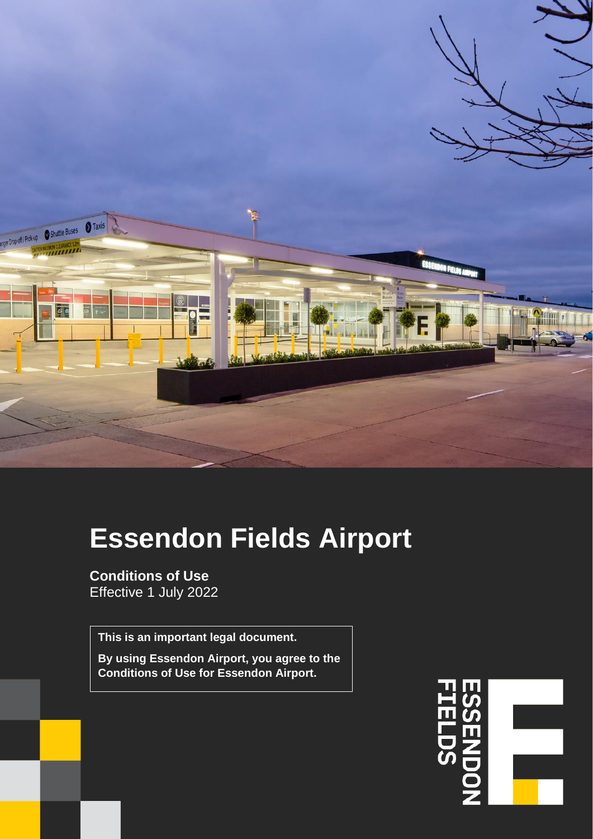

# **Essendon Fields Airport**

**Conditions of Use** Effective 1 July 2022

**This is an important legal document.**

**By using Essendon Airport, you agree to the Conditions of Use for Essendon Airport.**

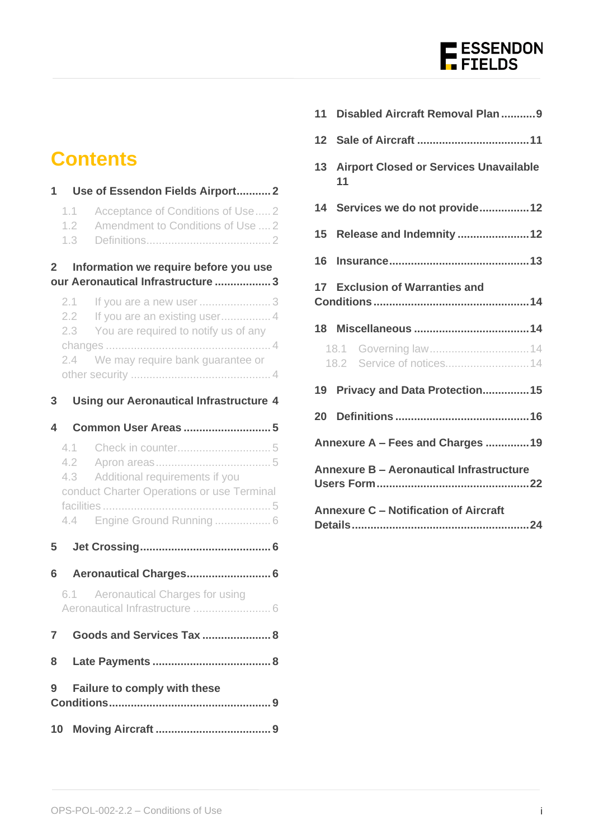

# **Contents**

#### **1 [Use of Essendon Fields Airport...........](#page-2-0) 2** 1.1 [Acceptance of Conditions of Use.....](#page-2-1) 2 1.2 [Amendment to Conditions of Use](#page-2-2) .... 2 1.3 [Definitions........................................](#page-2-3) 2 **2 [Information we require before you use](#page-3-0)  [our Aeronautical Infrastructure](#page-3-0) .................. 3** 2.1 [If you are a new user](#page-3-1) ....................... 3 2.2 [If you are an existing user................](#page-4-0)4 2.3 [You are required to notify us of any](#page-4-1)  changes [.....................................................](#page-4-1) 4 2.4 [We may require bank guarantee or](#page-4-2)  other security [.............................................](#page-4-2) 4 **3 [Using our Aeronautical Infrastructure](#page-4-3) 4 4 [Common User Areas](#page-5-0) ............................ 5** 4.1 [Check in counter..............................](#page-5-1) 5 4.2 [Apron areas.....................................](#page-5-2) 5 4.3 [Additional requirements if you](#page-5-3)  [conduct Charter Operations or use Terminal](#page-5-3)  facilities [......................................................](#page-5-3) 5 4.4 [Engine Ground Running](#page-6-0) .................. 6 **5 [Jet Crossing..........................................](#page-6-1) 6 6 [Aeronautical Charges...........................](#page-6-2) 6** 6.1 [Aeronautical Charges for using](#page-6-3)  [Aeronautical Infrastructure](#page-6-3) ......................... 6 **7 [Goods and Services Tax](#page-8-0) ...................... 8 8 Late Payments [......................................](#page-8-1) 8 9 Failure [to comply with these](#page-9-0)  [Conditions....................................................](#page-9-0) 9 10 Moving Aircraft [.....................................](#page-9-1) 9**

|                                | 11 Disabled Aircraft Removal Plan 9             |  |  |  |  |
|--------------------------------|-------------------------------------------------|--|--|--|--|
| 12 <sup>7</sup>                |                                                 |  |  |  |  |
|                                | 13 Airport Closed or Services Unavailable<br>11 |  |  |  |  |
| 14                             | Services we do not provide12                    |  |  |  |  |
| 15                             | Release and Indemnity  12                       |  |  |  |  |
| 16                             |                                                 |  |  |  |  |
| 17 Exclusion of Warranties and |                                                 |  |  |  |  |
|                                |                                                 |  |  |  |  |
|                                |                                                 |  |  |  |  |
|                                |                                                 |  |  |  |  |
|                                | 19 Privacy and Data Protection15                |  |  |  |  |
| 20                             |                                                 |  |  |  |  |
|                                | Annexure A - Fees and Charges 19                |  |  |  |  |
|                                | <b>Annexure B - Aeronautical Infrastructure</b> |  |  |  |  |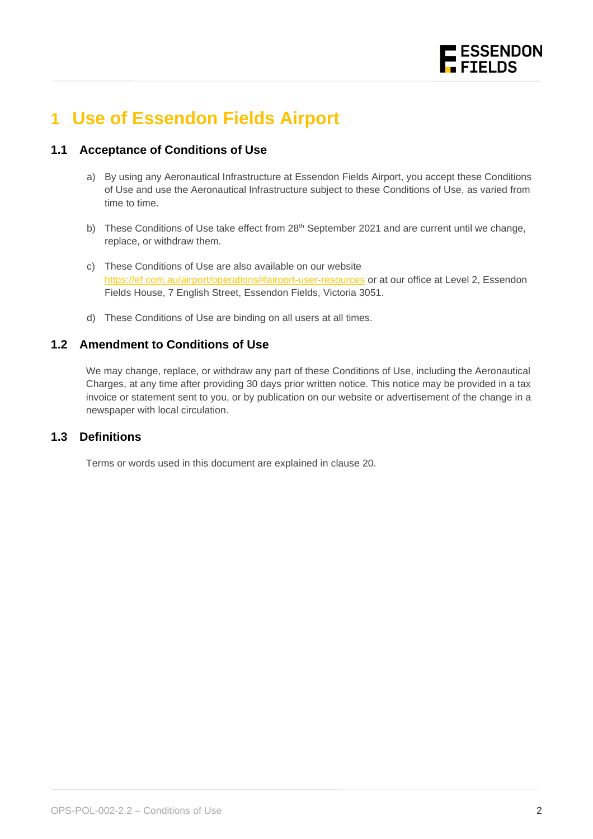

### <span id="page-2-0"></span>**1 Use of Essendon Fields Airport**

#### <span id="page-2-1"></span>**1.1 Acceptance of Conditions of Use**

- a) By using any Aeronautical Infrastructure at Essendon Fields Airport, you accept these Conditions of Use and use the Aeronautical Infrastructure subject to these Conditions of Use, as varied from time to time.
- b) These Conditions of Use take effect from 28<sup>th</sup> September 2021 and are current until we change, replace, or withdraw them.
- c) These Conditions of Use are also available on our website <https://ef.com.au/airport/operations/#airport-user-resources> or at our office at Level 2, Essendon Fields House, 7 English Street, Essendon Fields, Victoria 3051.
- d) These Conditions of Use are binding on all users at all times.

#### <span id="page-2-2"></span>**1.2 Amendment to Conditions of Use**

We may change, replace, or withdraw any part of these Conditions of Use, including the Aeronautical Charges, at any time after providing 30 days prior written notice. This notice may be provided in a tax invoice or statement sent to you, or by publication on our website or advertisement of the change in a newspaper with local circulation.

#### <span id="page-2-3"></span>**1.3 Definitions**

Terms or words used in this document are explained in clause [20.](#page-16-1)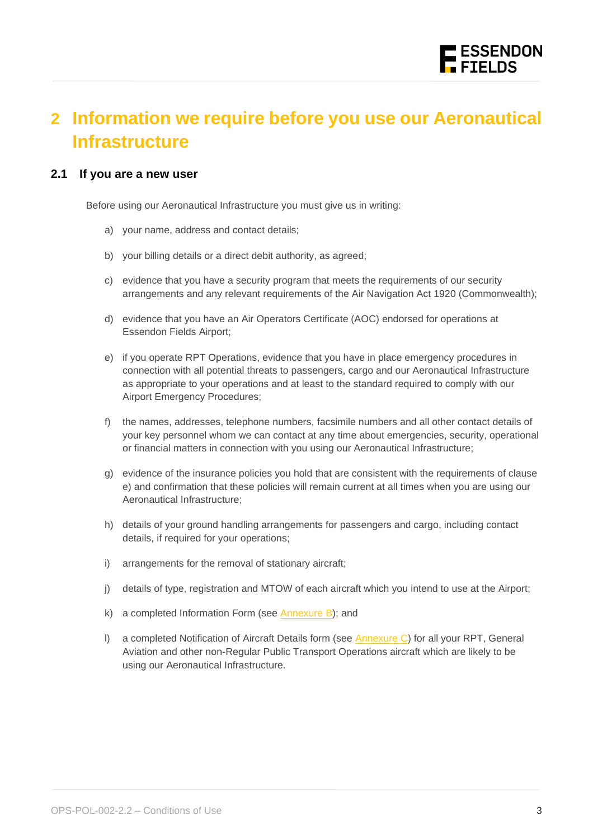

# <span id="page-3-0"></span>**2 Information we require before you use our Aeronautical Infrastructure**

#### <span id="page-3-1"></span>**2.1 If you are a new user**

Before using our Aeronautical Infrastructure you must give us in writing:

- a) your name, address and contact details;
- b) your billing details or a direct debit authority, as agreed;
- c) evidence that you have a security program that meets the requirements of our security arrangements and any relevant requirements of the Air Navigation Act 1920 (Commonwealth);
- d) evidence that you have an Air Operators Certificate (AOC) endorsed for operations at Essendon Fields Airport;
- e) if you operate RPT Operations, evidence that you have in place emergency procedures in connection with all potential threats to passengers, cargo and our Aeronautical Infrastructure as appropriate to your operations and at least to the standard required to comply with our Airport Emergency Procedures;
- f) the names, addresses, telephone numbers, facsimile numbers and all other contact details of your key personnel whom we can contact at any time about emergencies, security, operational or financial matters in connection with you using our Aeronautical Infrastructure;
- g) evidence of the insurance policies you hold that are consistent with the requirements of clause [e\)](#page-13-1) and confirmation that these policies will remain current at all times when you are using our Aeronautical Infrastructure;
- h) details of your ground handling arrangements for passengers and cargo, including contact details, if required for your operations;
- i) arrangements for the removal of stationary aircraft;
- j) details of type, registration and MTOW of each aircraft which you intend to use at the Airport;
- k) a completed Information Form (see [Annexure B\)](#page-20-0); and
- l) a completed Notification of Aircraft Details form (see [Annexure C\)](#page-21-0) for all your RPT, General Aviation and other non-Regular Public Transport Operations aircraft which are likely to be using our Aeronautical Infrastructure.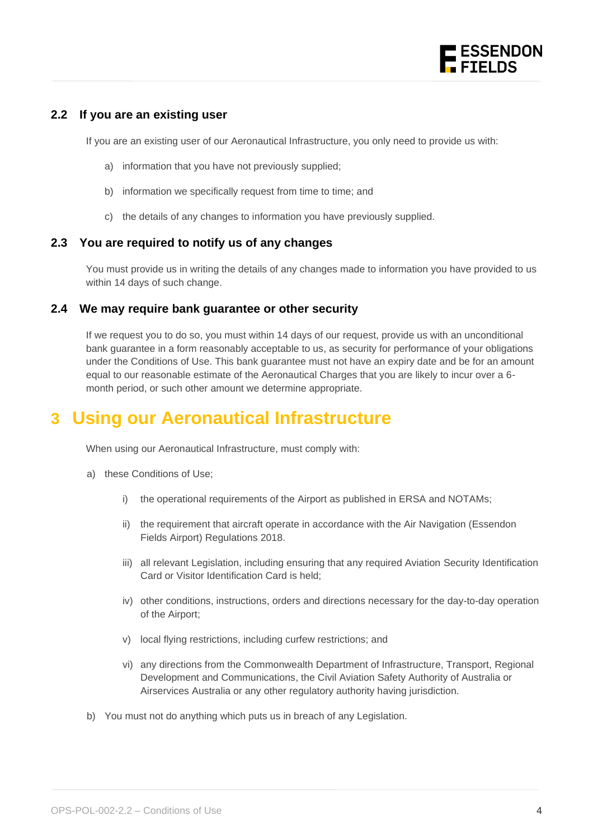

#### <span id="page-4-0"></span>**2.2 If you are an existing user**

If you are an existing user of our Aeronautical Infrastructure, you only need to provide us with:

- a) information that you have not previously supplied;
- b) information we specifically request from time to time; and
- c) the details of any changes to information you have previously supplied.

#### <span id="page-4-1"></span>**2.3 You are required to notify us of any changes**

You must provide us in writing the details of any changes made to information you have provided to us within 14 days of such change.

#### <span id="page-4-2"></span>**2.4 We may require bank guarantee or other security**

If we request you to do so, you must within 14 days of our request, provide us with an unconditional bank guarantee in a form reasonably acceptable to us, as security for performance of your obligations under the Conditions of Use. This bank guarantee must not have an expiry date and be for an amount equal to our reasonable estimate of the Aeronautical Charges that you are likely to incur over a 6 month period, or such other amount we determine appropriate.

#### <span id="page-4-3"></span>**3 Using our Aeronautical Infrastructure**

When using our Aeronautical Infrastructure, must comply with:

- a) these Conditions of Use;
	- i) the operational requirements of the Airport as published in ERSA and NOTAMs;
	- ii) the requirement that aircraft operate in accordance with the Air Navigation (Essendon Fields Airport) Regulations 2018.
	- iii) all relevant Legislation, including ensuring that any required Aviation Security Identification Card or Visitor Identification Card is held;
	- iv) other conditions, instructions, orders and directions necessary for the day-to-day operation of the Airport;
	- v) local flying restrictions, including curfew restrictions; and
	- vi) any directions from the Commonwealth Department of Infrastructure, Transport, Regional Development and Communications, the Civil Aviation Safety Authority of Australia or Airservices Australia or any other regulatory authority having jurisdiction.
- <span id="page-4-4"></span>b) You must not do anything which puts us in breach of any Legislation.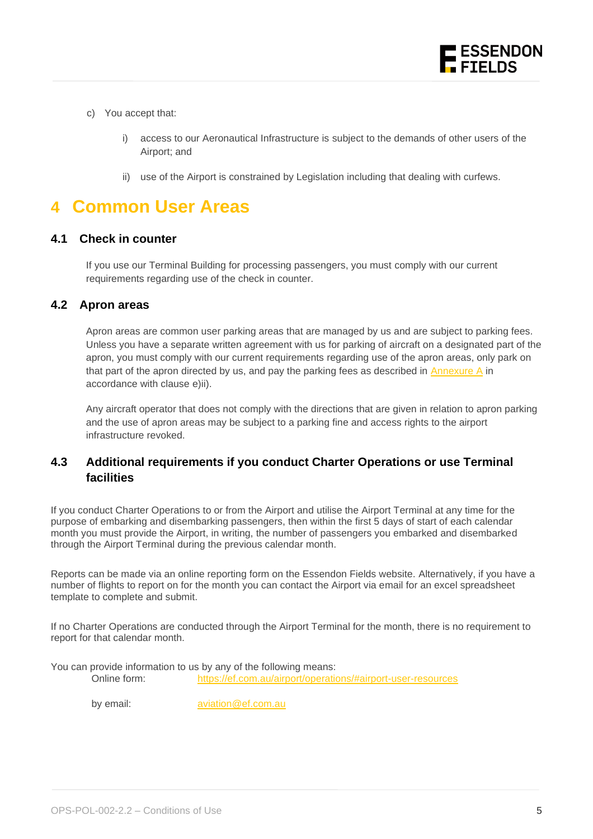

- c) You accept that:
	- i) access to our Aeronautical Infrastructure is subject to the demands of other users of the Airport; and
	- ii) use of the Airport is constrained by Legislation including that dealing with curfews.

### <span id="page-5-0"></span>**4 Common User Areas**

#### <span id="page-5-1"></span>**4.1 Check in counter**

If you use our Terminal Building for processing passengers, you must comply with our current requirements regarding use of the check in counter.

#### <span id="page-5-2"></span>**4.2 Apron areas**

Apron areas are common user parking areas that are managed by us and are subject to parking fees. Unless you have a separate written agreement with us for parking of aircraft on a designated part of the apron, you must comply with our current requirements regarding use of the apron areas, only park on that part of the apron directed by us, and pay the parking fees as described in  $\frac{Annexture}{A}$  in accordance with clause [e\)ii\).](#page-6-4)

Any aircraft operator that does not comply with the directions that are given in relation to apron parking and the use of apron areas may be subject to a parking fine and access rights to the airport infrastructure revoked.

#### <span id="page-5-3"></span>**4.3 Additional requirements if you conduct Charter Operations or use Terminal facilities**

If you conduct Charter Operations to or from the Airport and utilise the Airport Terminal at any time for the purpose of embarking and disembarking passengers, then within the first 5 days of start of each calendar month you must provide the Airport, in writing, the number of passengers you embarked and disembarked through the Airport Terminal during the previous calendar month.

Reports can be made via an online reporting form on the Essendon Fields website. Alternatively, if you have a number of flights to report on for the month you can contact the Airport via email for an excel spreadsheet template to complete and submit.

If no Charter Operations are conducted through the Airport Terminal for the month, there is no requirement to report for that calendar month.

You can provide information to us by any of the following means: Online form: <https://ef.com.au/airport/operations/#airport-user-resources>

by email: [aviation@ef.com.au](mailto:aviation@ef.com.au)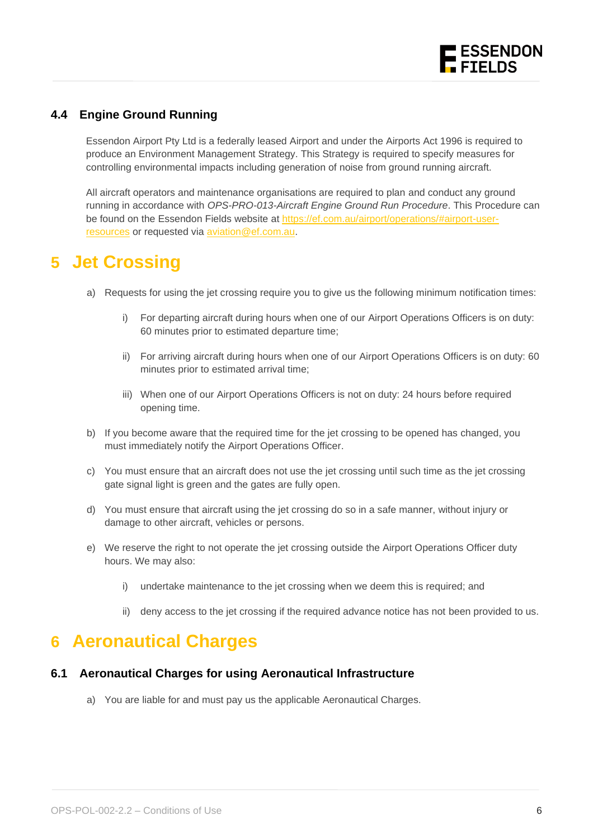

#### <span id="page-6-0"></span>**4.4 Engine Ground Running**

Essendon Airport Pty Ltd is a federally leased Airport and under the Airports Act 1996 is required to produce an Environment Management Strategy. This Strategy is required to specify measures for controlling environmental impacts including generation of noise from ground running aircraft.

All aircraft operators and maintenance organisations are required to plan and conduct any ground running in accordance with *OPS-PRO-013-Aircraft Engine Ground Run Procedure*. This Procedure can be found on the Essendon Fields website at [https://ef.com.au/airport/operations/#airport-user](https://ef.com.au/airport/operations/#airport-user-resources)[resources](https://ef.com.au/airport/operations/#airport-user-resources) or requested via [aviation@ef.com.au.](mailto:aviation@ef.com.au)

### <span id="page-6-1"></span>**5 Jet Crossing**

- a) Requests for using the jet crossing require you to give us the following minimum notification times:
	- i) For departing aircraft during hours when one of our Airport Operations Officers is on duty: 60 minutes prior to estimated departure time;
	- ii) For arriving aircraft during hours when one of our Airport Operations Officers is on duty: 60 minutes prior to estimated arrival time;
	- iii) When one of our Airport Operations Officers is not on duty: 24 hours before required opening time.
- b) If you become aware that the required time for the jet crossing to be opened has changed, you must immediately notify the Airport Operations Officer.
- c) You must ensure that an aircraft does not use the jet crossing until such time as the jet crossing gate signal light is green and the gates are fully open.
- d) You must ensure that aircraft using the jet crossing do so in a safe manner, without injury or damage to other aircraft, vehicles or persons.
- <span id="page-6-4"></span>e) We reserve the right to not operate the jet crossing outside the Airport Operations Officer duty hours. We may also:
	- i) undertake maintenance to the jet crossing when we deem this is required; and
	- ii) deny access to the jet crossing if the required advance notice has not been provided to us.

### <span id="page-6-2"></span>**6 Aeronautical Charges**

#### <span id="page-6-3"></span>**6.1 Aeronautical Charges for using Aeronautical Infrastructure**

a) You are liable for and must pay us the applicable Aeronautical Charges.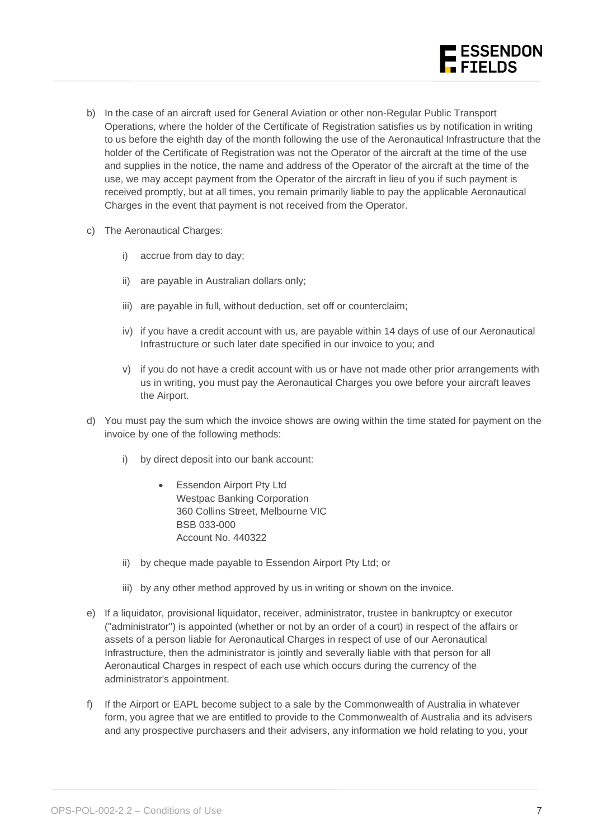

- b) In the case of an aircraft used for General Aviation or other non-Regular Public Transport Operations, where the holder of the Certificate of Registration satisfies us by notification in writing to us before the eighth day of the month following the use of the Aeronautical Infrastructure that the holder of the Certificate of Registration was not the Operator of the aircraft at the time of the use and supplies in the notice, the name and address of the Operator of the aircraft at the time of the use, we may accept payment from the Operator of the aircraft in lieu of you if such payment is received promptly, but at all times, you remain primarily liable to pay the applicable Aeronautical Charges in the event that payment is not received from the Operator.
- c) The Aeronautical Charges:
	- i) accrue from day to day;
	- ii) are payable in Australian dollars only;
	- iii) are payable in full, without deduction, set off or counterclaim;
	- iv) if you have a credit account with us, are payable within 14 days of use of our Aeronautical Infrastructure or such later date specified in our invoice to you; and
	- v) if you do not have a credit account with us or have not made other prior arrangements with us in writing, you must pay the Aeronautical Charges you owe before your aircraft leaves the Airport.
- d) You must pay the sum which the invoice shows are owing within the time stated for payment on the invoice by one of the following methods:
	- i) by direct deposit into our bank account:
		- Essendon Airport Pty Ltd Westpac Banking Corporation 360 Collins Street, Melbourne VIC BSB 033-000 Account No. 440322
	- ii) by cheque made payable to Essendon Airport Pty Ltd; or
	- iii) by any other method approved by us in writing or shown on the invoice.
- e) If a liquidator, provisional liquidator, receiver, administrator, trustee in bankruptcy or executor ("administrator") is appointed (whether or not by an order of a court) in respect of the affairs or assets of a person liable for Aeronautical Charges in respect of use of our Aeronautical Infrastructure, then the administrator is jointly and severally liable with that person for all Aeronautical Charges in respect of each use which occurs during the currency of the administrator's appointment.
- f) If the Airport or EAPL become subject to a sale by the Commonwealth of Australia in whatever form, you agree that we are entitled to provide to the Commonwealth of Australia and its advisers and any prospective purchasers and their advisers, any information we hold relating to you, your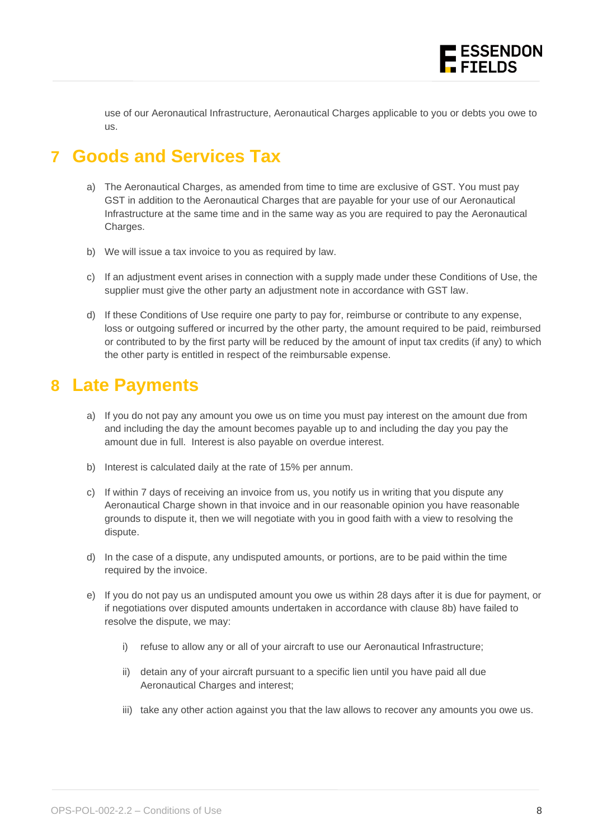

use of our Aeronautical Infrastructure, Aeronautical Charges applicable to you or debts you owe to us.

### <span id="page-8-0"></span>**7 Goods and Services Tax**

- a) The Aeronautical Charges, as amended from time to time are exclusive of GST. You must pay GST in addition to the Aeronautical Charges that are payable for your use of our Aeronautical Infrastructure at the same time and in the same way as you are required to pay the Aeronautical Charges.
- b) We will issue a tax invoice to you as required by law.
- c) If an adjustment event arises in connection with a supply made under these Conditions of Use, the supplier must give the other party an adjustment note in accordance with GST law.
- d) If these Conditions of Use require one party to pay for, reimburse or contribute to any expense, loss or outgoing suffered or incurred by the other party, the amount required to be paid, reimbursed or contributed to by the first party will be reduced by the amount of input tax credits (if any) to which the other party is entitled in respect of the reimbursable expense.

#### <span id="page-8-2"></span><span id="page-8-1"></span>**8 Late Payments**

- a) If you do not pay any amount you owe us on time you must pay interest on the amount due from and including the day the amount becomes payable up to and including the day you pay the amount due in full. Interest is also payable on overdue interest.
- <span id="page-8-3"></span>b) Interest is calculated daily at the rate of 15% per annum.
- c) If within 7 days of receiving an invoice from us, you notify us in writing that you dispute any Aeronautical Charge shown in that invoice and in our reasonable opinion you have reasonable grounds to dispute it, then we will negotiate with you in good faith with a view to resolving the dispute.
- d) In the case of a dispute, any undisputed amounts, or portions, are to be paid within the time required by the invoice.
- e) If you do not pay us an undisputed amount you owe us within 28 days after it is due for payment, or if negotiations over disputed amounts undertaken in accordance with clause [8](#page-8-2)[b\)](#page-8-3) have failed to resolve the dispute, we may:
	- i) refuse to allow any or all of your aircraft to use our Aeronautical Infrastructure;
	- ii) detain any of your aircraft pursuant to a specific lien until you have paid all due Aeronautical Charges and interest;
	- iii) take any other action against you that the law allows to recover any amounts you owe us.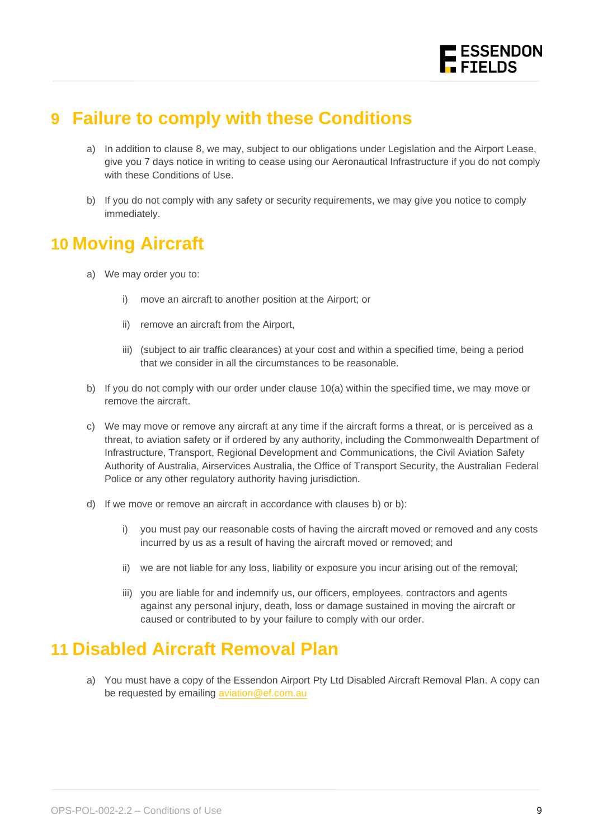

### <span id="page-9-0"></span>**9 Failure to comply with these Conditions**

- a) In addition to clause [8,](#page-8-2) we may, subject to our obligations under Legislation and the Airport Lease, give you 7 days notice in writing to cease using our Aeronautical Infrastructure if you do not comply with these Conditions of Use.
- b) If you do not comply with any safety or security requirements, we may give you notice to comply immediately.

### <span id="page-9-3"></span><span id="page-9-1"></span>**10 Moving Aircraft**

- a) We may order you to:
	- i) move an aircraft to another position at the Airport; or
	- ii) remove an aircraft from the Airport,
	- iii) (subject to air traffic clearances) at your cost and within a specified time, being a period that we consider in all the circumstances to be reasonable.
- <span id="page-9-5"></span><span id="page-9-4"></span>b) If you do not comply with our order under clause [10\(](#page-9-3)a) within the specified time, we may move or remove the aircraft.
- c) We may move or remove any aircraft at any time if the aircraft forms a threat, or is perceived as a threat, to aviation safety or if ordered by any authority, including the Commonwealth Department of Infrastructure, Transport, Regional Development and Communications, the Civil Aviation Safety Authority of Australia, Airservices Australia, the Office of Transport Security, the Australian Federal Police or any other regulatory authority having jurisdiction.
- d) If we move or remove an aircraft in accordance with clauses [b\)](#page-9-4) or [b\):](#page-9-5)
	- i) you must pay our reasonable costs of having the aircraft moved or removed and any costs incurred by us as a result of having the aircraft moved or removed; and
	- ii) we are not liable for any loss, liability or exposure you incur arising out of the removal;
	- iii) you are liable for and indemnify us, our officers, employees, contractors and agents against any personal injury, death, loss or damage sustained in moving the aircraft or caused or contributed to by your failure to comply with our order.

### <span id="page-9-6"></span><span id="page-9-2"></span>**11 Disabled Aircraft Removal Plan**

a) You must have a copy of the Essendon Airport Pty Ltd Disabled Aircraft Removal Plan. A copy can be requested by emailing [aviation@ef.com.au](mailto:aviation@ef.com.au)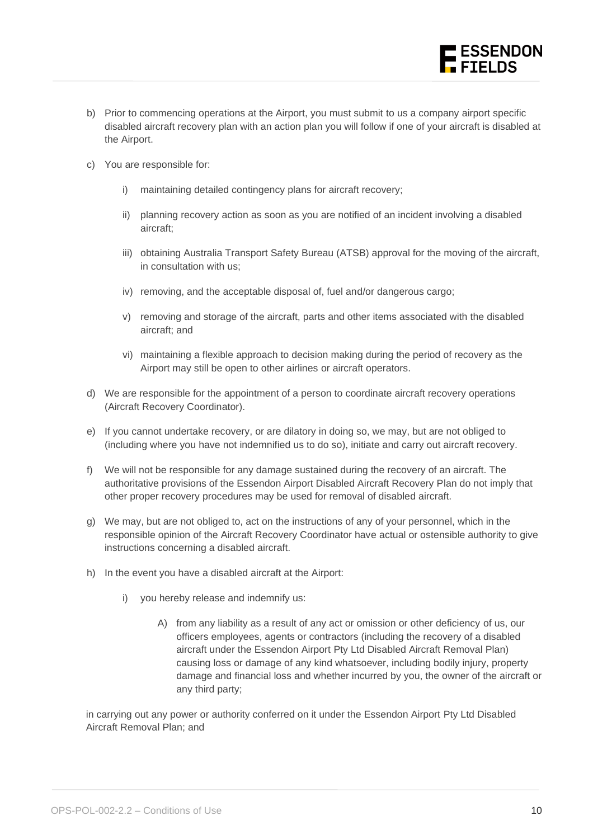

- b) Prior to commencing operations at the Airport, you must submit to us a company airport specific disabled aircraft recovery plan with an action plan you will follow if one of your aircraft is disabled at the Airport.
- c) You are responsible for:
	- i) maintaining detailed contingency plans for aircraft recovery;
	- ii) planning recovery action as soon as you are notified of an incident involving a disabled aircraft;
	- iii) obtaining Australia Transport Safety Bureau (ATSB) approval for the moving of the aircraft, in consultation with us;
	- iv) removing, and the acceptable disposal of, fuel and/or dangerous cargo;
	- v) removing and storage of the aircraft, parts and other items associated with the disabled aircraft; and
	- vi) maintaining a flexible approach to decision making during the period of recovery as the Airport may still be open to other airlines or aircraft operators.
- d) We are responsible for the appointment of a person to coordinate aircraft recovery operations (Aircraft Recovery Coordinator).
- e) If you cannot undertake recovery, or are dilatory in doing so, we may, but are not obliged to (including where you have not indemnified us to do so), initiate and carry out aircraft recovery.
- f) We will not be responsible for any damage sustained during the recovery of an aircraft. The authoritative provisions of the Essendon Airport Disabled Aircraft Recovery Plan do not imply that other proper recovery procedures may be used for removal of disabled aircraft.
- g) We may, but are not obliged to, act on the instructions of any of your personnel, which in the responsible opinion of the Aircraft Recovery Coordinator have actual or ostensible authority to give instructions concerning a disabled aircraft.
- h) In the event you have a disabled aircraft at the Airport:
	- i) you hereby release and indemnify us:
		- A) from any liability as a result of any act or omission or other deficiency of us, our officers employees, agents or contractors (including the recovery of a disabled aircraft under the Essendon Airport Pty Ltd Disabled Aircraft Removal Plan) causing loss or damage of any kind whatsoever, including bodily injury, property damage and financial loss and whether incurred by you, the owner of the aircraft or any third party;

in carrying out any power or authority conferred on it under the Essendon Airport Pty Ltd Disabled Aircraft Removal Plan; and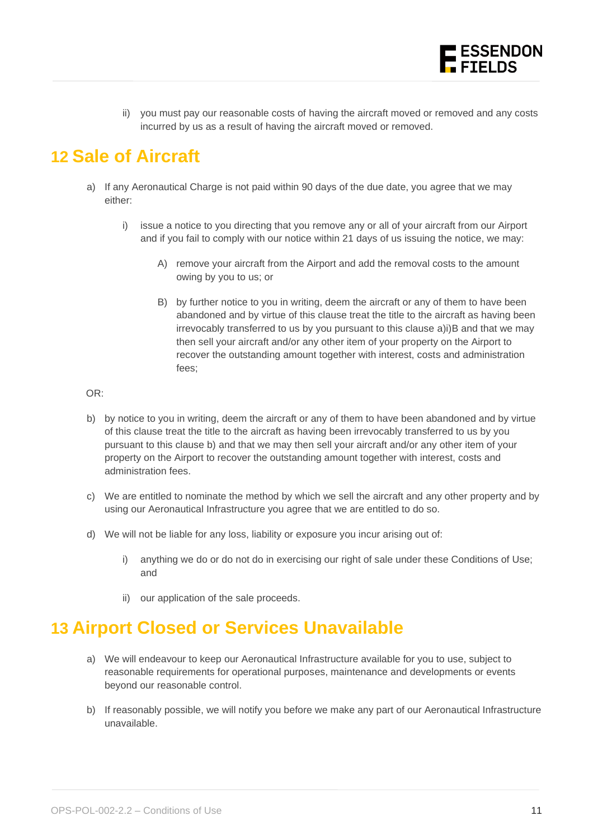<span id="page-11-5"></span>

ii) you must pay our reasonable costs of having the aircraft moved or removed and any costs incurred by us as a result of having the aircraft moved or removed.

### <span id="page-11-0"></span>**12 Sale of Aircraft**

- <span id="page-11-2"></span>a) If any Aeronautical Charge is not paid within 90 days of the due date, you agree that we may either:
	- i) issue a notice to you directing that you remove any or all of your aircraft from our Airport and if you fail to comply with our notice within 21 days of us issuing the notice, we may:
		- A) remove your aircraft from the Airport and add the removal costs to the amount owing by you to us; or
		- B) by further notice to you in writing, deem the aircraft or any of them to have been abandoned and by virtue of this clause treat the title to the aircraft as having been irrevocably transferred to us by you pursuant to this clause [a\)i\)B](#page-11-2) and that we may then sell your aircraft and/or any other item of your property on the Airport to recover the outstanding amount together with interest, costs and administration fees;

OR:

- <span id="page-11-3"></span>b) by notice to you in writing, deem the aircraft or any of them to have been abandoned and by virtue of this clause treat the title to the aircraft as having been irrevocably transferred to us by you pursuant to this clause [b\)](#page-11-3) and that we may then sell your aircraft and/or any other item of your property on the Airport to recover the outstanding amount together with interest, costs and administration fees.
- c) We are entitled to nominate the method by which we sell the aircraft and any other property and by using our Aeronautical Infrastructure you agree that we are entitled to do so.
- d) We will not be liable for any loss, liability or exposure you incur arising out of:
	- i) anything we do or do not do in exercising our right of sale under these Conditions of Use; and
	- ii) our application of the sale proceeds.

## <span id="page-11-4"></span><span id="page-11-1"></span>**13 Airport Closed or Services Unavailable**

- a) We will endeavour to keep our Aeronautical Infrastructure available for you to use, subject to reasonable requirements for operational purposes, maintenance and developments or events beyond our reasonable control.
- b) If reasonably possible, we will notify you before we make any part of our Aeronautical Infrastructure unavailable.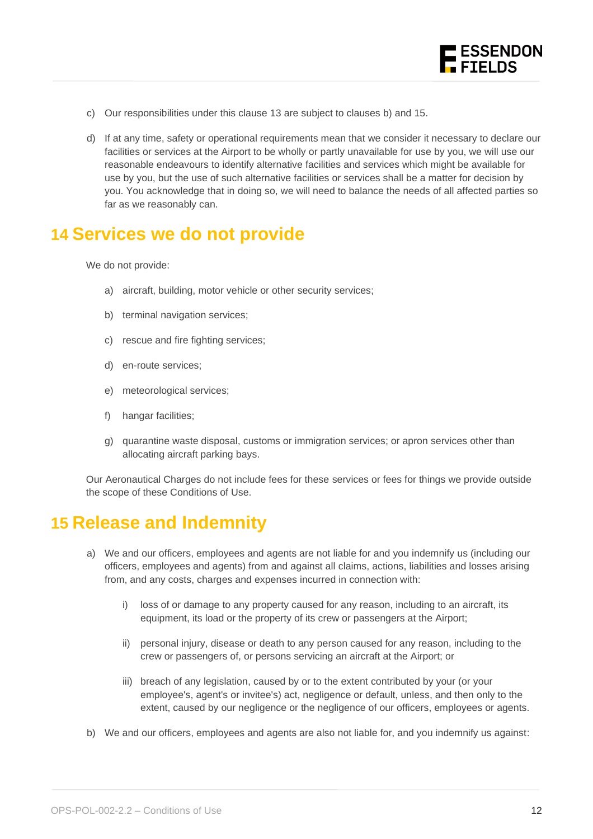

- c) Our responsibilities under this clause [13](#page-11-4) are subject to clauses [b\)](#page-4-4) and [15.](#page-12-2)
- d) If at any time, safety or operational requirements mean that we consider it necessary to declare our facilities or services at the Airport to be wholly or partly unavailable for use by you, we will use our reasonable endeavours to identify alternative facilities and services which might be available for use by you, but the use of such alternative facilities or services shall be a matter for decision by you. You acknowledge that in doing so, we will need to balance the needs of all affected parties so far as we reasonably can.

#### <span id="page-12-0"></span>**14 Services we do not provide**

We do not provide:

- a) aircraft, building, motor vehicle or other security services;
- b) terminal navigation services;
- c) rescue and fire fighting services;
- d) en-route services;
- e) meteorological services;
- f) hangar facilities;
- g) quarantine waste disposal, customs or immigration services; or apron services other than allocating aircraft parking bays.

Our Aeronautical Charges do not include fees for these services or fees for things we provide outside the scope of these Conditions of Use.

#### <span id="page-12-2"></span><span id="page-12-1"></span>**15 Release and Indemnity**

- a) We and our officers, employees and agents are not liable for and you indemnify us (including our officers, employees and agents) from and against all claims, actions, liabilities and losses arising from, and any costs, charges and expenses incurred in connection with:
	- i) loss of or damage to any property caused for any reason, including to an aircraft, its equipment, its load or the property of its crew or passengers at the Airport;
	- ii) personal injury, disease or death to any person caused for any reason, including to the crew or passengers of, or persons servicing an aircraft at the Airport; or
	- iii) breach of any legislation, caused by or to the extent contributed by your (or your employee's, agent's or invitee's) act, negligence or default, unless, and then only to the extent, caused by our negligence or the negligence of our officers, employees or agents.
- b) We and our officers, employees and agents are also not liable for, and you indemnify us against: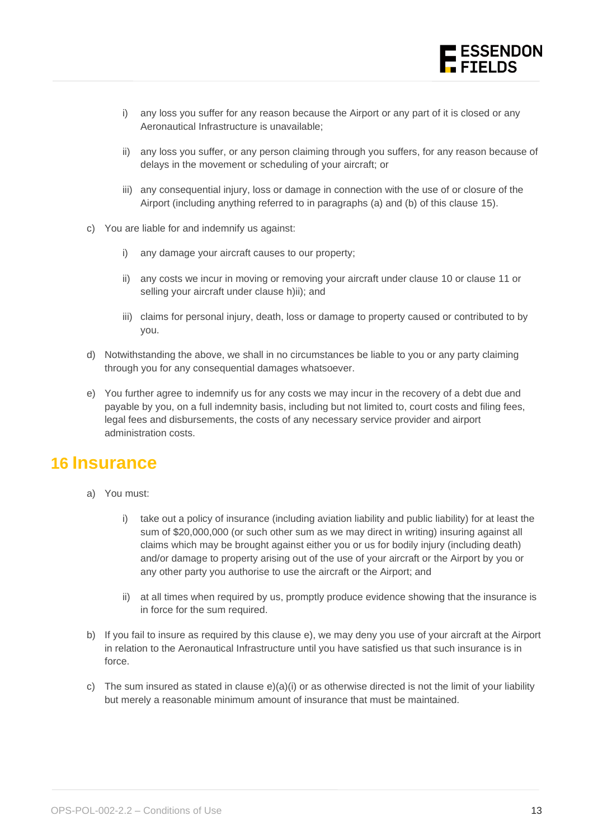

- i) any loss you suffer for any reason because the Airport or any part of it is closed or any Aeronautical Infrastructure is unavailable;
- ii) any loss you suffer, or any person claiming through you suffers, for any reason because of delays in the movement or scheduling of your aircraft; or
- iii) any consequential injury, loss or damage in connection with the use of or closure of the Airport (including anything referred to in paragraphs (a) and (b) of this clause [15\)](#page-12-2).
- c) You are liable for and indemnify us against:
	- i) any damage your aircraft causes to our property;
	- ii) any costs we incur in moving or removing your aircraft under clause [10](#page-9-3) or clause [11](#page-9-6) or selling your aircraft under clause [h\)ii\);](#page-11-5) and
	- iii) claims for personal injury, death, loss or damage to property caused or contributed to by you.
- d) Notwithstanding the above, we shall in no circumstances be liable to you or any party claiming through you for any consequential damages whatsoever.
- <span id="page-13-1"></span>e) You further agree to indemnify us for any costs we may incur in the recovery of a debt due and payable by you, on a full indemnity basis, including but not limited to, court costs and filing fees, legal fees and disbursements, the costs of any necessary service provider and airport administration costs.

#### <span id="page-13-0"></span>**16 Insurance**

- a) You must:
	- i) take out a policy of insurance (including aviation liability and public liability) for at least the sum of \$20,000,000 (or such other sum as we may direct in writing) insuring against all claims which may be brought against either you or us for bodily injury (including death) and/or damage to property arising out of the use of your aircraft or the Airport by you or any other party you authorise to use the aircraft or the Airport; and
	- ii) at all times when required by us, promptly produce evidence showing that the insurance is in force for the sum required.
- b) If you fail to insure as required by this clause [e\),](#page-13-1) we may deny you use of your aircraft at the Airport in relation to the Aeronautical Infrastructure until you have satisfied us that such insurance is in force.
- c) The sum insured as stated in clause  $e)(a)(i)$  or as otherwise directed is not the limit of your liability but merely a reasonable minimum amount of insurance that must be maintained.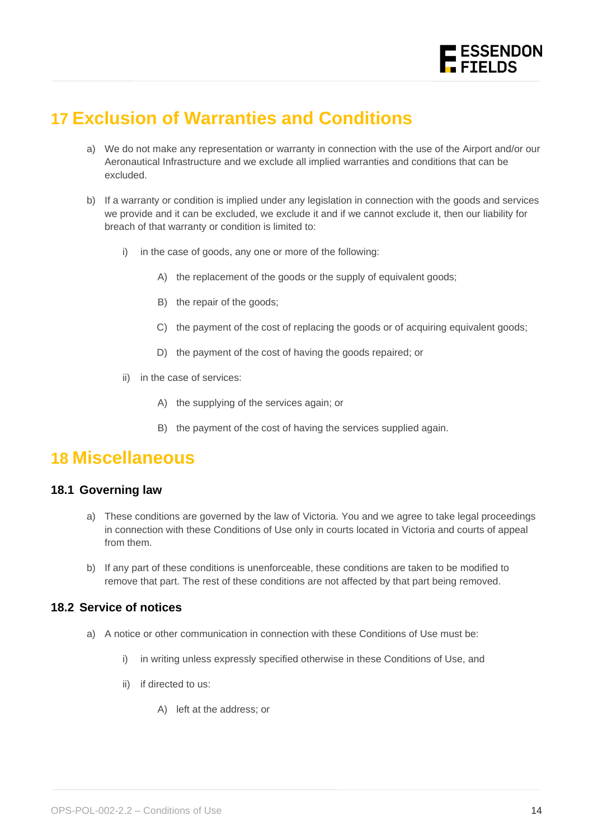

### <span id="page-14-0"></span>**17 Exclusion of Warranties and Conditions**

- a) We do not make any representation or warranty in connection with the use of the Airport and/or our Aeronautical Infrastructure and we exclude all implied warranties and conditions that can be excluded.
- b) If a warranty or condition is implied under any legislation in connection with the goods and services we provide and it can be excluded, we exclude it and if we cannot exclude it, then our liability for breach of that warranty or condition is limited to:
	- i) in the case of goods, any one or more of the following:
		- A) the replacement of the goods or the supply of equivalent goods;
		- B) the repair of the goods;
		- C) the payment of the cost of replacing the goods or of acquiring equivalent goods;
		- D) the payment of the cost of having the goods repaired; or
	- ii) in the case of services:
		- A) the supplying of the services again; or
		- B) the payment of the cost of having the services supplied again.

### <span id="page-14-1"></span>**18 Miscellaneous**

#### <span id="page-14-2"></span>**18.1 Governing law**

- a) These conditions are governed by the law of Victoria. You and we agree to take legal proceedings in connection with these Conditions of Use only in courts located in Victoria and courts of appeal from them.
- b) If any part of these conditions is unenforceable, these conditions are taken to be modified to remove that part. The rest of these conditions are not affected by that part being removed.

#### <span id="page-14-3"></span>**18.2 Service of notices**

- a) A notice or other communication in connection with these Conditions of Use must be:
	- i) in writing unless expressly specified otherwise in these Conditions of Use, and
	- ii) if directed to us:
		- A) left at the address; or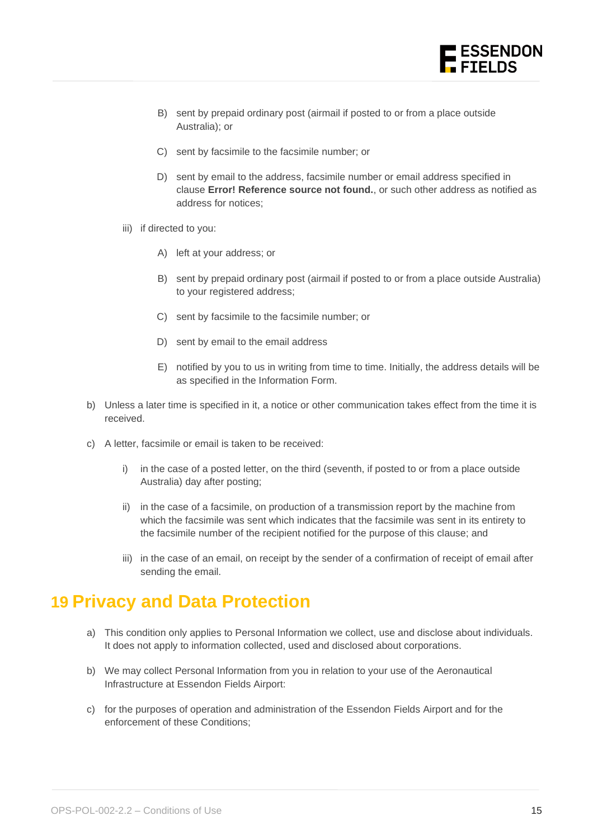

- B) sent by prepaid ordinary post (airmail if posted to or from a place outside Australia); or
- C) sent by facsimile to the facsimile number; or
- D) sent by email to the address, facsimile number or email address specified in clause **Error! Reference source not found.**, or such other address as notified as address for notices;
- iii) if directed to you:
	- A) left at your address; or
	- B) sent by prepaid ordinary post (airmail if posted to or from a place outside Australia) to your registered address;
	- C) sent by facsimile to the facsimile number; or
	- D) sent by email to the email address
	- E) notified by you to us in writing from time to time. Initially, the address details will be as specified in the Information Form.
- b) Unless a later time is specified in it, a notice or other communication takes effect from the time it is received.
- c) A letter, facsimile or email is taken to be received:
	- i) in the case of a posted letter, on the third (seventh, if posted to or from a place outside Australia) day after posting;
	- ii) in the case of a facsimile, on production of a transmission report by the machine from which the facsimile was sent which indicates that the facsimile was sent in its entirety to the facsimile number of the recipient notified for the purpose of this clause; and
	- iii) in the case of an email, on receipt by the sender of a confirmation of receipt of email after sending the email.

### <span id="page-15-1"></span><span id="page-15-0"></span>**19 Privacy and Data Protection**

- a) This condition only applies to Personal Information we collect, use and disclose about individuals. It does not apply to information collected, used and disclosed about corporations.
- b) We may collect Personal Information from you in relation to your use of the Aeronautical Infrastructure at Essendon Fields Airport:
- c) for the purposes of operation and administration of the Essendon Fields Airport and for the enforcement of these Conditions;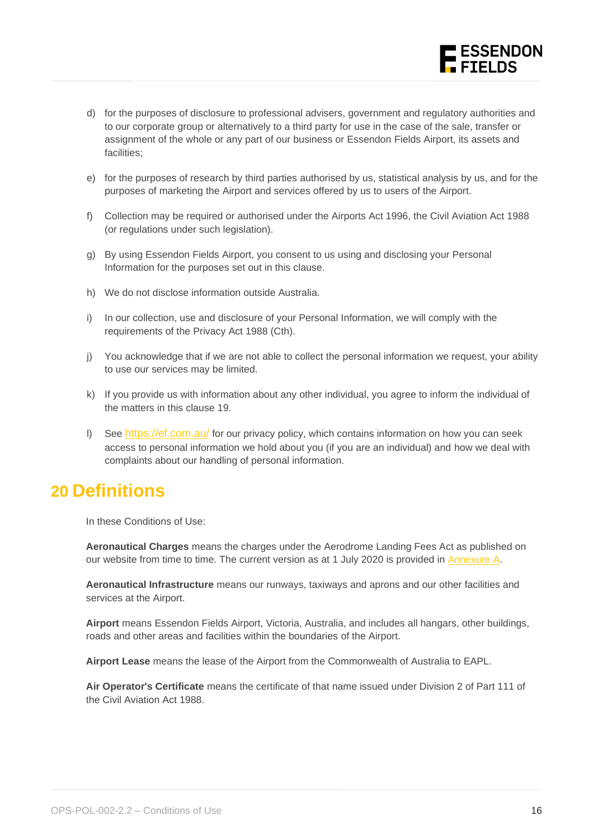

- d) for the purposes of disclosure to professional advisers, government and regulatory authorities and to our corporate group or alternatively to a third party for use in the case of the sale, transfer or assignment of the whole or any part of our business or Essendon Fields Airport, its assets and facilities;
- e) for the purposes of research by third parties authorised by us, statistical analysis by us, and for the purposes of marketing the Airport and services offered by us to users of the Airport.
- f) Collection may be required or authorised under the Airports Act 1996, the Civil Aviation Act 1988 (or regulations under such legislation).
- g) By using Essendon Fields Airport, you consent to us using and disclosing your Personal Information for the purposes set out in this clause.
- h) We do not disclose information outside Australia.
- i) In our collection, use and disclosure of your Personal Information, we will comply with the requirements of the Privacy Act 1988 (Cth).
- j) You acknowledge that if we are not able to collect the personal information we request, your ability to use our services may be limited.
- k) If you provide us with information about any other individual, you agree to inform the individual of the matters in this clause [19.](#page-15-1)
- l) See <https://ef.com.au/> for our privacy policy, which contains information on how you can seek access to personal information we hold about you (if you are an individual) and how we deal with complaints about our handling of personal information.

### <span id="page-16-1"></span><span id="page-16-0"></span>**20 Definitions**

In these Conditions of Use:

**Aeronautical Charges** means the charges under the Aerodrome Landing Fees Act as published on our website from time to time. The current version as at 1 July 2020 is provided in [Annexure A.](#page-19-1)

**Aeronautical Infrastructure** means our runways, taxiways and aprons and our other facilities and services at the Airport.

**Airport** means Essendon Fields Airport, Victoria, Australia, and includes all hangars, other buildings, roads and other areas and facilities within the boundaries of the Airport.

**Airport Lease** means the lease of the Airport from the Commonwealth of Australia to EAPL.

**Air Operator's Certificate** means the certificate of that name issued under Division 2 of Part 111 of the Civil Aviation Act 1988.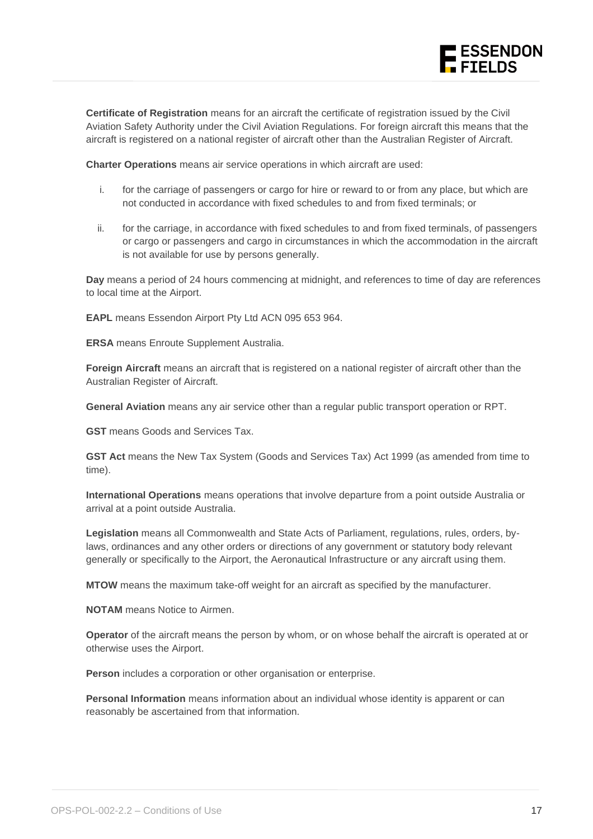

**Certificate of Registration** means for an aircraft the certificate of registration issued by the Civil Aviation Safety Authority under the Civil Aviation Regulations. For foreign aircraft this means that the aircraft is registered on a national register of aircraft other than the Australian Register of Aircraft.

**Charter Operations** means air service operations in which aircraft are used:

- i. for the carriage of passengers or cargo for hire or reward to or from any place, but which are not conducted in accordance with fixed schedules to and from fixed terminals; or
- ii. for the carriage, in accordance with fixed schedules to and from fixed terminals, of passengers or cargo or passengers and cargo in circumstances in which the accommodation in the aircraft is not available for use by persons generally.

**Day** means a period of 24 hours commencing at midnight, and references to time of day are references to local time at the Airport.

**EAPL** means Essendon Airport Pty Ltd ACN 095 653 964.

**ERSA** means Enroute Supplement Australia.

**Foreign Aircraft** means an aircraft that is registered on a national register of aircraft other than the Australian Register of Aircraft.

**General Aviation** means any air service other than a regular public transport operation or RPT.

**GST** means Goods and Services Tax.

**GST Act** means the New Tax System (Goods and Services Tax) Act 1999 (as amended from time to time).

**International Operations** means operations that involve departure from a point outside Australia or arrival at a point outside Australia.

**Legislation** means all Commonwealth and State Acts of Parliament, regulations, rules, orders, bylaws, ordinances and any other orders or directions of any government or statutory body relevant generally or specifically to the Airport, the Aeronautical Infrastructure or any aircraft using them.

**MTOW** means the maximum take-off weight for an aircraft as specified by the manufacturer.

**NOTAM** means Notice to Airmen.

**Operator** of the aircraft means the person by whom, or on whose behalf the aircraft is operated at or otherwise uses the Airport.

**Person** includes a corporation or other organisation or enterprise.

**Personal Information** means information about an individual whose identity is apparent or can reasonably be ascertained from that information.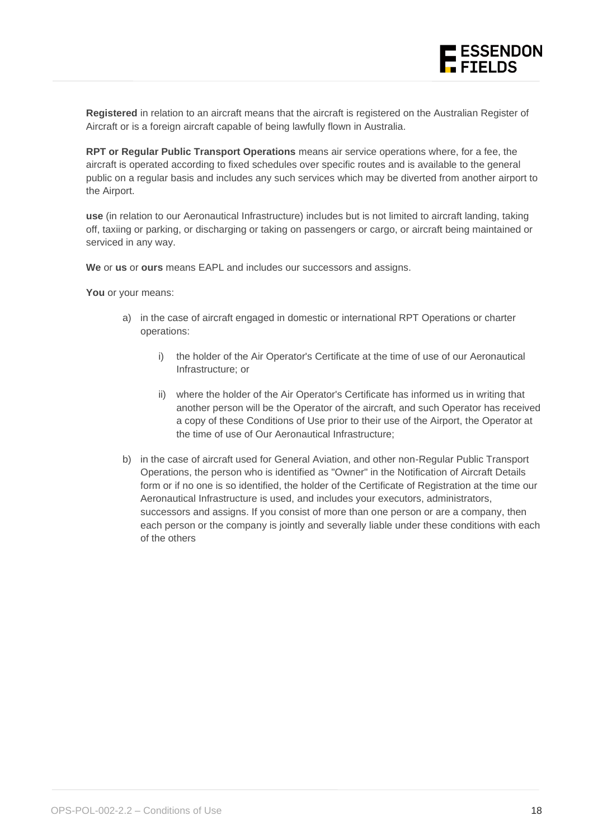

**Registered** in relation to an aircraft means that the aircraft is registered on the Australian Register of Aircraft or is a foreign aircraft capable of being lawfully flown in Australia.

**RPT or Regular Public Transport Operations** means air service operations where, for a fee, the aircraft is operated according to fixed schedules over specific routes and is available to the general public on a regular basis and includes any such services which may be diverted from another airport to the Airport.

**use** (in relation to our Aeronautical Infrastructure) includes but is not limited to aircraft landing, taking off, taxiing or parking, or discharging or taking on passengers or cargo, or aircraft being maintained or serviced in any way.

**We** or **us** or **ours** means EAPL and includes our successors and assigns.

**You** or your means:

- a) in the case of aircraft engaged in domestic or international RPT Operations or charter operations:
	- i) the holder of the Air Operator's Certificate at the time of use of our Aeronautical Infrastructure; or
	- ii) where the holder of the Air Operator's Certificate has informed us in writing that another person will be the Operator of the aircraft, and such Operator has received a copy of these Conditions of Use prior to their use of the Airport, the Operator at the time of use of Our Aeronautical Infrastructure;
- b) in the case of aircraft used for General Aviation, and other non-Regular Public Transport Operations, the person who is identified as "Owner" in the Notification of Aircraft Details form or if no one is so identified, the holder of the Certificate of Registration at the time our Aeronautical Infrastructure is used, and includes your executors, administrators, successors and assigns. If you consist of more than one person or are a company, then each person or the company is jointly and severally liable under these conditions with each of the others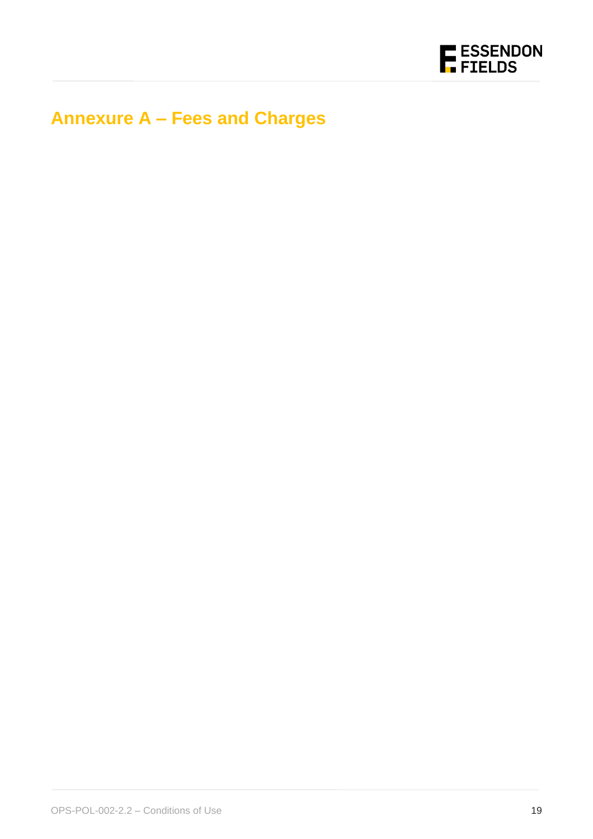

# <span id="page-19-1"></span><span id="page-19-0"></span>**Annexure A – Fees and Charges**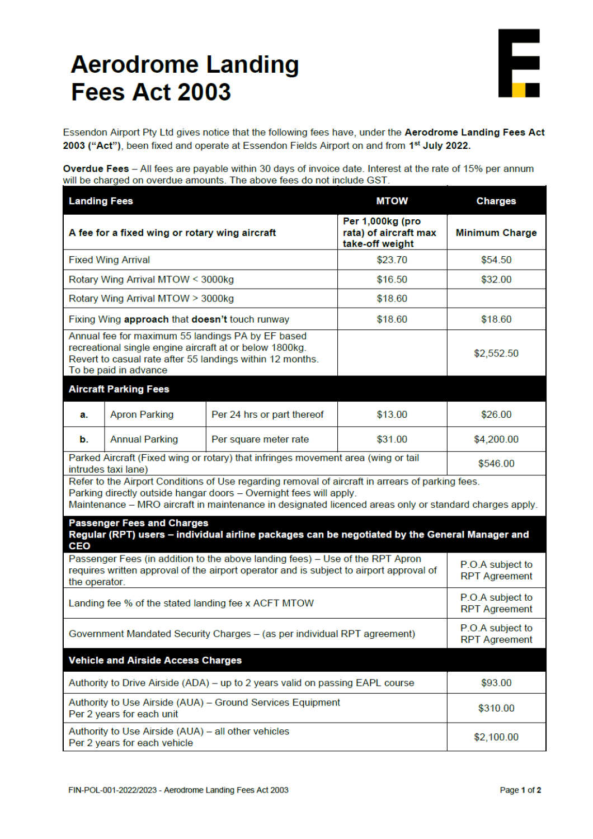# **Aerodrome Landing** Fees Act 2003

<span id="page-20-0"></span>Essendon Airport Pty Ltd gives notice that the following fees have, under the Aerodrome Landing Fees Act 2003 ("Act"), been fixed and operate at Essendon Fields Airport on and from 1<sup>st</sup> July 2022.

Overdue Fees - All fees are payable within 30 days of invoice date. Interest at the rate of 15% per annum will be charged on overdue amounts. The above fees do not include GST.

| <b>Landing Fees</b>                                                                                                                                                                                                                                                              |                                                |                            | <b>MTOW</b>                                                  | <b>Charges</b>                           |  |  |
|----------------------------------------------------------------------------------------------------------------------------------------------------------------------------------------------------------------------------------------------------------------------------------|------------------------------------------------|----------------------------|--------------------------------------------------------------|------------------------------------------|--|--|
| A fee for a fixed wing or rotary wing aircraft                                                                                                                                                                                                                                   |                                                |                            | Per 1,000kg (pro<br>rata) of aircraft max<br>take-off weight | <b>Minimum Charge</b>                    |  |  |
| <b>Fixed Wing Arrival</b>                                                                                                                                                                                                                                                        |                                                |                            | \$23.70                                                      | \$54.50                                  |  |  |
| Rotary Wing Arrival MTOW < 3000kg                                                                                                                                                                                                                                                |                                                |                            | \$16.50                                                      | \$32.00                                  |  |  |
|                                                                                                                                                                                                                                                                                  | Rotary Wing Arrival MTOW > 3000kg              |                            | \$18.60                                                      |                                          |  |  |
|                                                                                                                                                                                                                                                                                  | Fixing Wing approach that doesn't touch runway |                            | \$18.60                                                      | \$18.60                                  |  |  |
| Annual fee for maximum 55 landings PA by EF based<br>recreational single engine aircraft at or below 1800kg.<br>Revert to casual rate after 55 landings within 12 months.<br>To be paid in advance                                                                               |                                                |                            |                                                              | \$2,552.50                               |  |  |
|                                                                                                                                                                                                                                                                                  | <b>Aircraft Parking Fees</b>                   |                            |                                                              |                                          |  |  |
| a.                                                                                                                                                                                                                                                                               | <b>Apron Parking</b>                           | Per 24 hrs or part thereof | \$13.00                                                      | \$26.00                                  |  |  |
| b.                                                                                                                                                                                                                                                                               | <b>Annual Parking</b>                          | Per square meter rate      | \$31.00                                                      | \$4,200.00                               |  |  |
| Parked Aircraft (Fixed wing or rotary) that infringes movement area (wing or tail<br>intrudes taxi lane)                                                                                                                                                                         |                                                |                            |                                                              | \$546.00                                 |  |  |
| Refer to the Airport Conditions of Use regarding removal of aircraft in arrears of parking fees.<br>Parking directly outside hangar doors - Overnight fees will apply.<br>Maintenance - MRO aircraft in maintenance in designated licenced areas only or standard charges apply. |                                                |                            |                                                              |                                          |  |  |
| <b>Passenger Fees and Charges</b><br>Regular (RPT) users - individual airline packages can be negotiated by the General Manager and<br>CEO                                                                                                                                       |                                                |                            |                                                              |                                          |  |  |
| Passenger Fees (in addition to the above landing fees) - Use of the RPT Apron<br>requires written approval of the airport operator and is subject to airport approval of<br>the operator.                                                                                        |                                                |                            |                                                              | P.O.A subject to<br><b>RPT Agreement</b> |  |  |
| Landing fee % of the stated landing fee x ACFT MTOW                                                                                                                                                                                                                              |                                                |                            |                                                              | P.O.A subject to<br><b>RPT</b> Agreement |  |  |
| Government Mandated Security Charges - (as per individual RPT agreement)                                                                                                                                                                                                         |                                                |                            |                                                              | P.O.A subject to<br><b>RPT</b> Agreement |  |  |
| <b>Vehicle and Airside Access Charges</b>                                                                                                                                                                                                                                        |                                                |                            |                                                              |                                          |  |  |
| Authority to Drive Airside (ADA) - up to 2 years valid on passing EAPL course                                                                                                                                                                                                    |                                                |                            |                                                              | \$93.00                                  |  |  |
| Authority to Use Airside (AUA) - Ground Services Equipment<br>Per 2 years for each unit                                                                                                                                                                                          |                                                |                            |                                                              | \$310.00                                 |  |  |
| Authority to Use Airside (AUA) - all other vehicles<br>Per 2 years for each vehicle                                                                                                                                                                                              |                                                |                            |                                                              | \$2,100.00                               |  |  |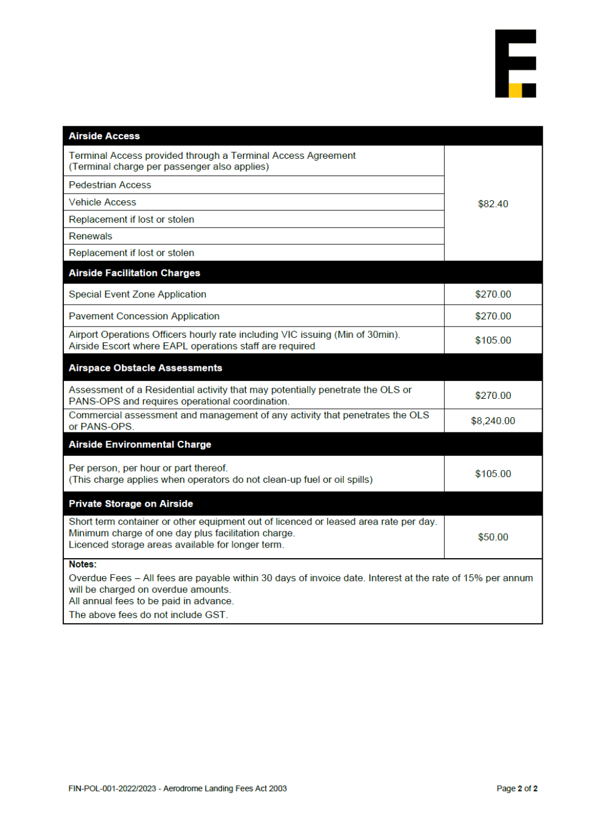<span id="page-21-0"></span>

| <b>Airside Access</b>                                                                                                                                                                            |            |  |  |  |  |
|--------------------------------------------------------------------------------------------------------------------------------------------------------------------------------------------------|------------|--|--|--|--|
| Terminal Access provided through a Terminal Access Agreement<br>(Terminal charge per passenger also applies)                                                                                     |            |  |  |  |  |
| <b>Pedestrian Access</b>                                                                                                                                                                         |            |  |  |  |  |
| <b>Vehicle Access</b>                                                                                                                                                                            | \$82.40    |  |  |  |  |
| Replacement if lost or stolen                                                                                                                                                                    |            |  |  |  |  |
| Renewals                                                                                                                                                                                         |            |  |  |  |  |
| Replacement if lost or stolen                                                                                                                                                                    |            |  |  |  |  |
| <b>Airside Facilitation Charges</b>                                                                                                                                                              |            |  |  |  |  |
| <b>Special Event Zone Application</b>                                                                                                                                                            | \$270.00   |  |  |  |  |
| <b>Pavement Concession Application</b>                                                                                                                                                           | \$270.00   |  |  |  |  |
| Airport Operations Officers hourly rate including VIC issuing (Min of 30min).<br>Airside Escort where EAPL operations staff are required                                                         | \$105.00   |  |  |  |  |
| <b>Airspace Obstacle Assessments</b>                                                                                                                                                             |            |  |  |  |  |
| Assessment of a Residential activity that may potentially penetrate the OLS or<br>PANS-OPS and requires operational coordination.                                                                | \$270.00   |  |  |  |  |
| Commercial assessment and management of any activity that penetrates the OLS<br>or PANS-OPS.                                                                                                     | \$8,240.00 |  |  |  |  |
| <b>Airside Environmental Charge</b>                                                                                                                                                              |            |  |  |  |  |
| Per person, per hour or part thereof.<br>(This charge applies when operators do not clean-up fuel or oil spills)                                                                                 | \$105.00   |  |  |  |  |
| <b>Private Storage on Airside</b>                                                                                                                                                                |            |  |  |  |  |
| Short term container or other equipment out of licenced or leased area rate per day.<br>Minimum charge of one day plus facilitation charge.<br>Licenced storage areas available for longer term. | \$50.00    |  |  |  |  |
| Notes:                                                                                                                                                                                           |            |  |  |  |  |
| Overdue Fees - All fees are payable within 30 days of invoice date. Interest at the rate of 15% per annum<br>will be charged on overdue amounts.<br>All annual fees to be paid in advance.       |            |  |  |  |  |
| The above fees do not include GST.                                                                                                                                                               |            |  |  |  |  |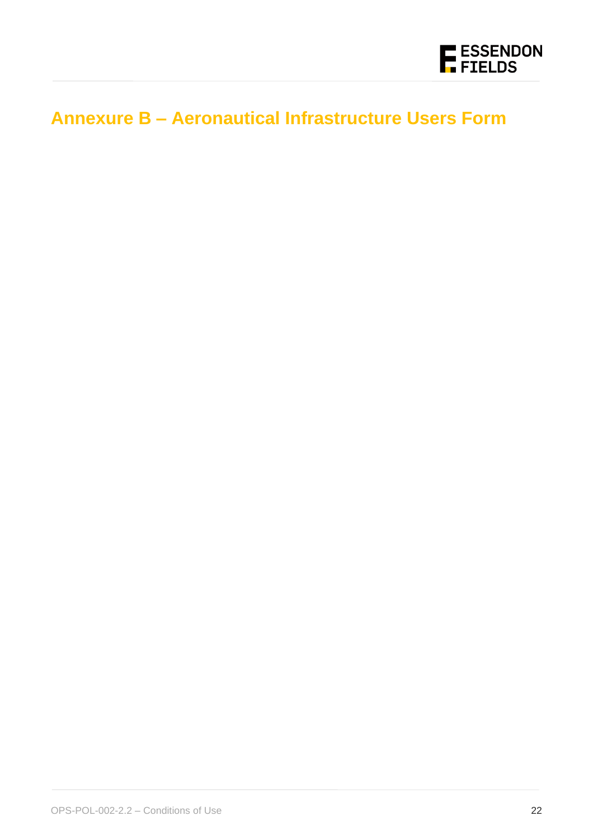

### <span id="page-22-0"></span>**Annexure B – Aeronautical Infrastructure Users Form**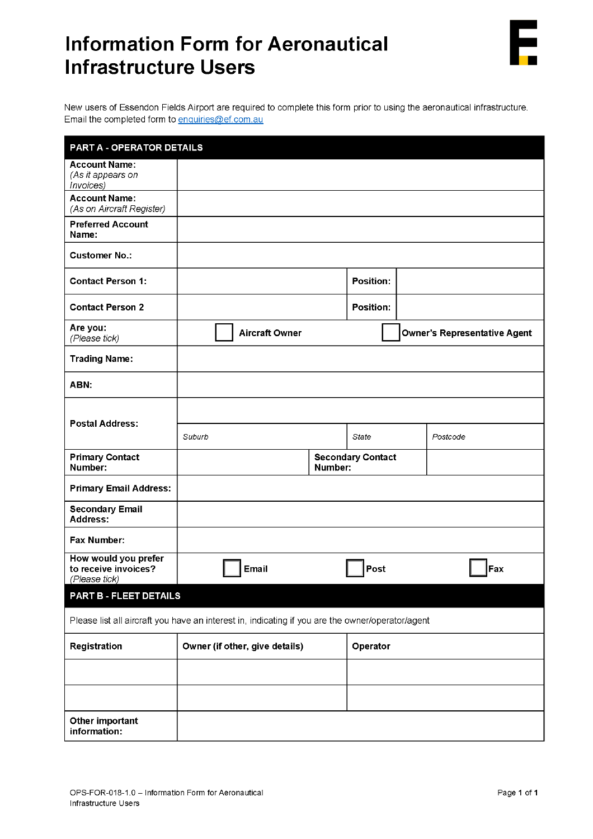# **Information Form for Aeronautical Infrastructure Users**



New users of Essendon Fields Airport are required to complete this form prior to using the aeronautical infrastructure. Email the completed form to enquiries@ef.com.au

| <b>PART A - OPERATOR DETAILS</b>                                                                 |                                |         |                          |                                     |  |
|--------------------------------------------------------------------------------------------------|--------------------------------|---------|--------------------------|-------------------------------------|--|
| <b>Account Name:</b><br>(As it appears on<br>Invoices)                                           |                                |         |                          |                                     |  |
| <b>Account Name:</b><br>(As on Aircraft Register)                                                |                                |         |                          |                                     |  |
| <b>Preferred Account</b><br>Name:                                                                |                                |         |                          |                                     |  |
| <b>Customer No.:</b>                                                                             |                                |         |                          |                                     |  |
| <b>Contact Person 1:</b>                                                                         |                                |         | <b>Position:</b>         |                                     |  |
| <b>Contact Person 2</b>                                                                          |                                |         | <b>Position:</b>         |                                     |  |
| Are you:<br>(Please tick)                                                                        | <b>Aircraft Owner</b>          |         |                          | <b>Owner's Representative Agent</b> |  |
| <b>Trading Name:</b>                                                                             |                                |         |                          |                                     |  |
| ABN:                                                                                             |                                |         |                          |                                     |  |
| <b>Postal Address:</b>                                                                           |                                |         |                          |                                     |  |
|                                                                                                  | Suburb                         |         | State                    | Postcode                            |  |
| <b>Primary Contact</b><br>Number:                                                                |                                | Number: | <b>Secondary Contact</b> |                                     |  |
| <b>Primary Email Address:</b>                                                                    |                                |         |                          |                                     |  |
| <b>Secondary Email</b><br><b>Address:</b>                                                        |                                |         |                          |                                     |  |
| Fax Number:                                                                                      |                                |         |                          |                                     |  |
| How would you prefer<br>to receive invoices?<br>(Please tick)                                    | Email                          |         | Post                     | Fax                                 |  |
| <b>PART B - FLEET DETAILS</b>                                                                    |                                |         |                          |                                     |  |
| Please list all aircraft you have an interest in, indicating if you are the owner/operator/agent |                                |         |                          |                                     |  |
| Registration                                                                                     | Owner (if other, give details) |         | Operator                 |                                     |  |
|                                                                                                  |                                |         |                          |                                     |  |
|                                                                                                  |                                |         |                          |                                     |  |
| Other important<br>information:                                                                  |                                |         |                          |                                     |  |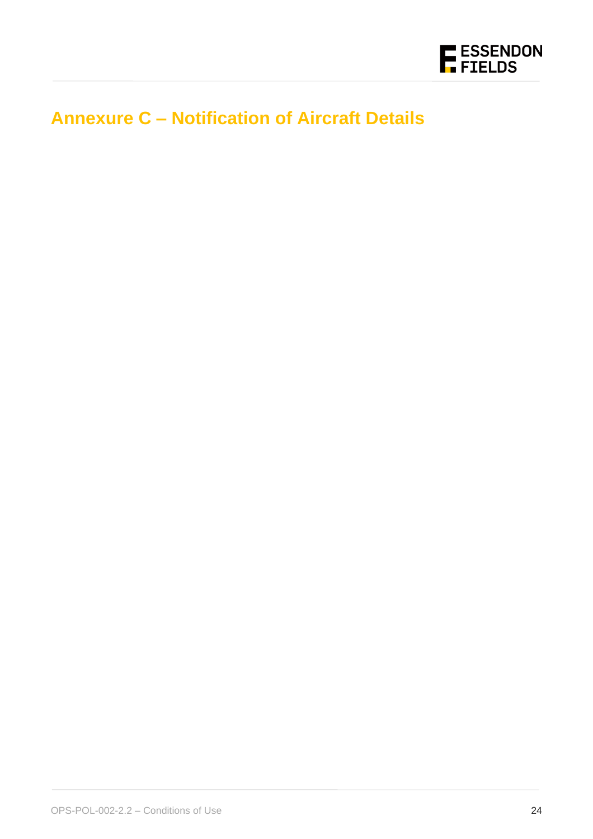

### <span id="page-24-0"></span>**Annexure C – Notification of Aircraft Details**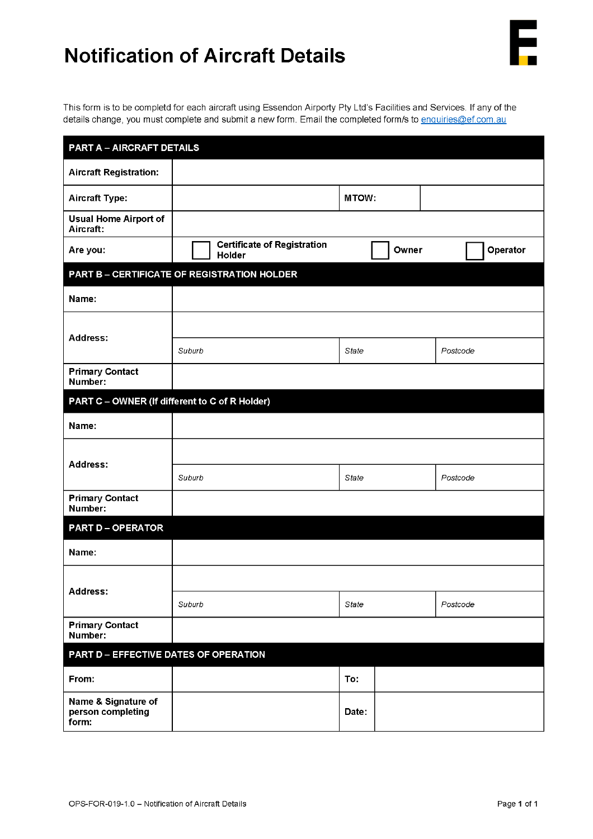# **Notification of Aircraft Details**



This form is to be completd for each aircraft using Essendon Airporty Pty Ltd's Facilities and Services. If any of the details change, you must complete and submit a new form. Email the completed form/s to enquiries@ef.com.au

| <b>PART A - AIRCRAFT DETAILS</b>                   |        |                                              |       |       |  |          |  |          |
|----------------------------------------------------|--------|----------------------------------------------|-------|-------|--|----------|--|----------|
| <b>Aircraft Registration:</b>                      |        |                                              |       |       |  |          |  |          |
| <b>Aircraft Type:</b>                              |        |                                              | MTOW: |       |  |          |  |          |
| <b>Usual Home Airport of</b><br>Aircraft:          |        |                                              |       |       |  |          |  |          |
| Are you:                                           |        | <b>Certificate of Registration</b><br>Holder |       | Owner |  |          |  | Operator |
| <b>PART B - CERTIFICATE OF REGISTRATION HOLDER</b> |        |                                              |       |       |  |          |  |          |
| Name:                                              |        |                                              |       |       |  |          |  |          |
| <b>Address:</b>                                    |        |                                              |       |       |  |          |  |          |
|                                                    | Suburb |                                              | State |       |  | Postcode |  |          |
| <b>Primary Contact</b><br>Number:                  |        |                                              |       |       |  |          |  |          |
| PART C - OWNER (If different to C of R Holder)     |        |                                              |       |       |  |          |  |          |
| Name:                                              |        |                                              |       |       |  |          |  |          |
|                                                    |        |                                              |       |       |  |          |  |          |
| <b>Address:</b>                                    | Suburb |                                              | State |       |  | Postcode |  |          |
| <b>Primary Contact</b><br>Number:                  |        |                                              |       |       |  |          |  |          |
| <b>PART D - OPERATOR</b>                           |        |                                              |       |       |  |          |  |          |
| Name:                                              |        |                                              |       |       |  |          |  |          |
|                                                    |        |                                              |       |       |  |          |  |          |
| <b>Address:</b>                                    | Suburb |                                              | State |       |  | Postcode |  |          |
| <b>Primary Contact</b><br>Number:                  |        |                                              |       |       |  |          |  |          |
| <b>PART D - EFFECTIVE DATES OF OPERATION</b>       |        |                                              |       |       |  |          |  |          |
| From:                                              |        |                                              | To:   |       |  |          |  |          |
| Name & Signature of<br>person completing<br>form:  |        |                                              | Date: |       |  |          |  |          |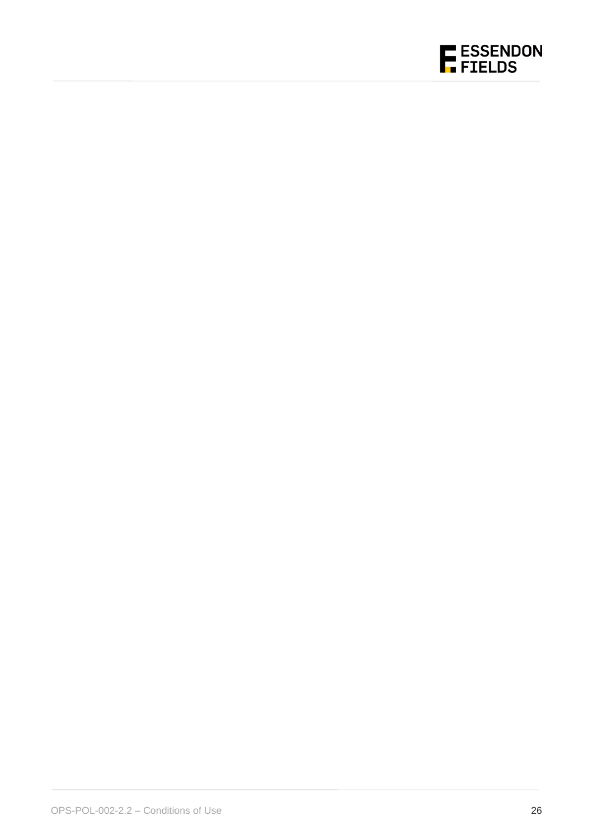